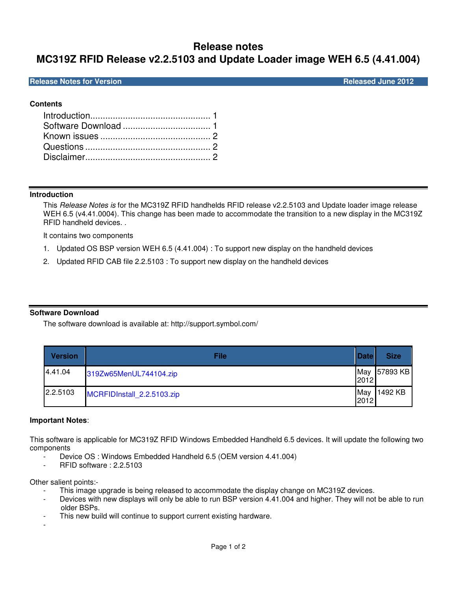# **Release notes MC319Z RFID Release v2.2.5103 and Update Loader image WEH 6.5 (4.41.004)**

## **Release Notes for Version Community Community Community Community Community Community Community Community Community**

# **Contents**

# **Introduction**

This Release Notes is for the MC319Z RFID handhelds RFID release v2.2.5103 and Update loader image release WEH 6.5 (v4.41.0004). This change has been made to accommodate the transition to a new display in the MC319Z RFID handheld devices. .

It contains two components

- 1. Updated OS BSP version WEH 6.5 (4.41.004) : To support new display on the handheld devices
- 2. Updated RFID CAB file 2.2.5103 : To support new display on the handheld devices

# **Software Download**

The software download is available at: http://support.symbol.com/

| <b>Version</b> | File                       | <b>Date</b> | <b>Size</b> |
|----------------|----------------------------|-------------|-------------|
| 4.41.04        | 319Zw65MenUL744104.zip     | May<br>2012 | 57893 KB    |
| 2.2.5103       | MCRFIDInstall_2.2.5103.zip | May<br>2012 | 1492 KB     |

### **Important Notes**:

This software is applicable for MC319Z RFID Windows Embedded Handheld 6.5 devices. It will update the following two components

- Device OS : Windows Embedded Handheld 6.5 (OEM version 4.41.004)
- RFID software : 2.2.5103

Other salient points:-

- This image upgrade is being released to accommodate the display change on MC319Z devices.
- Devices with new displays will only be able to run BSP version 4.41.004 and higher. They will not be able to run older BSPs.
- This new build will continue to support current existing hardware.
- -